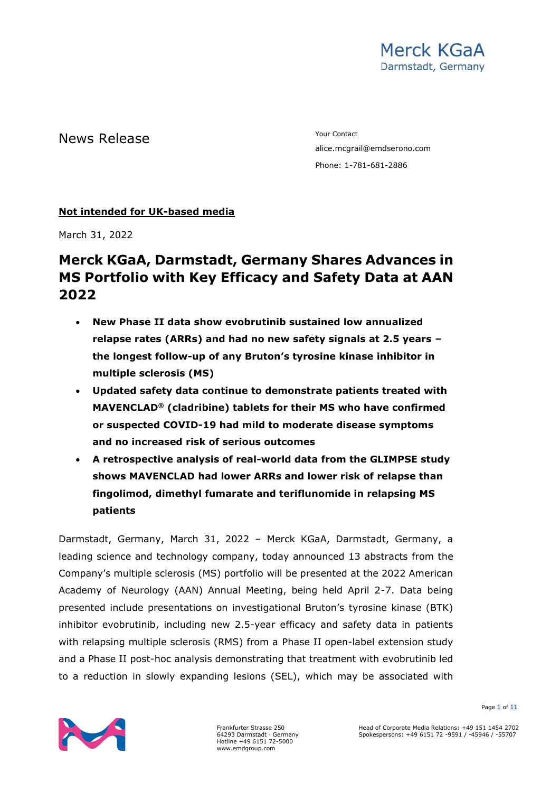# News Release The Contact Test of the Mews Release

alice.mcgrail@emdserono.com Phone: 1-781-681-2886

### **Not intended for UK-based media**

March 31, 2022

# **Merck KGaA, Darmstadt, Germany Shares Advances in MS Portfolio with Key Efficacy and Safety Data at AAN 2022**

- **New Phase II data show evobrutinib sustained low annualized relapse rates (ARRs) and had no new safety signals at 2.5 years – the longest follow-up of any Bruton's tyrosine kinase inhibitor in multiple sclerosis (MS)**
- **Updated safety data continue to demonstrate patients treated with MAVENCLAD® (cladribine) tablets for their MS who have confirmed or suspected COVID-19 had mild to moderate disease symptoms and no increased risk of serious outcomes**
- **A retrospective analysis of real-world data from the GLIMPSE study shows MAVENCLAD had lower ARRs and lower risk of relapse than fingolimod, dimethyl fumarate and teriflunomide in relapsing MS patients**

Darmstadt, Germany, March 31, 2022 – Merck KGaA, Darmstadt, Germany, a leading science and technology company, today announced 13 abstracts from the Company's multiple sclerosis (MS) portfolio will be presented at the 2022 American Academy of Neurology (AAN) Annual Meeting, being held April 2-7. Data being presented include presentations on investigational Bruton's tyrosine kinase (BTK) inhibitor evobrutinib, including new 2.5-year efficacy and safety data in patients with relapsing multiple sclerosis (RMS) from a Phase II open-label extension study and a Phase II post-hoc analysis demonstrating that treatment with evobrutinib led to a reduction in slowly expanding lesions (SEL), which may be associated with



Frankfurter Strasse 250 64293 Darmstadt · Germany Hotline +49 6151 72-5000 www.emdgroup.com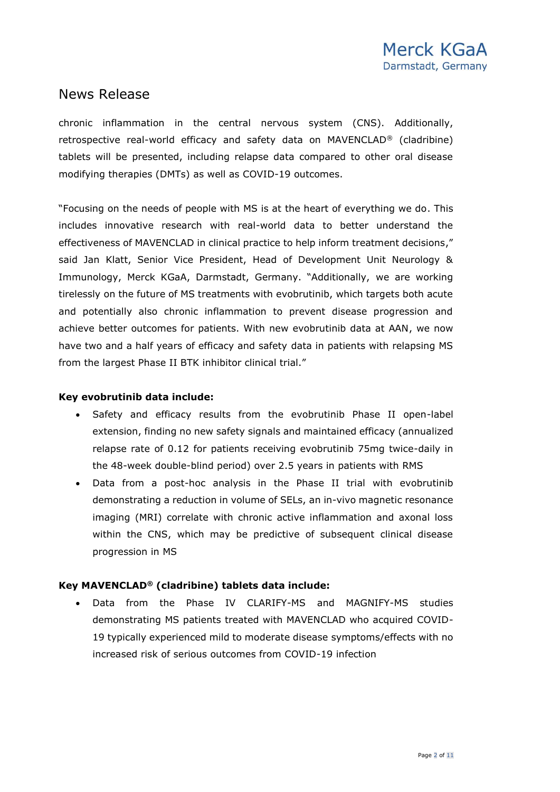chronic inflammation in the central nervous system (CNS). Additionally, retrospective real-world efficacy and safety data on MAVENCLAD® (cladribine) tablets will be presented, including relapse data compared to other oral disease modifying therapies (DMTs) as well as COVID-19 outcomes.

"Focusing on the needs of people with MS is at the heart of everything we do. This includes innovative research with real-world data to better understand the effectiveness of MAVENCLAD in clinical practice to help inform treatment decisions," said Jan Klatt, Senior Vice President, Head of Development Unit Neurology & Immunology, Merck KGaA, Darmstadt, Germany. "Additionally, we are working tirelessly on the future of MS treatments with evobrutinib, which targets both acute and potentially also chronic inflammation to prevent disease progression and achieve better outcomes for patients. With new evobrutinib data at AAN, we now have two and a half years of efficacy and safety data in patients with relapsing MS from the largest Phase II BTK inhibitor clinical trial."

#### **Key evobrutinib data include:**

- Safety and efficacy results from the evobrutinib Phase II open-label extension, finding no new safety signals and maintained efficacy (annualized relapse rate of 0.12 for patients receiving evobrutinib 75mg twice-daily in the 48-week double-blind period) over 2.5 years in patients with RMS
- Data from a post-hoc analysis in the Phase II trial with evobrutinib demonstrating a reduction in volume of SELs, an in-vivo magnetic resonance imaging (MRI) correlate with chronic active inflammation and axonal loss within the CNS, which may be predictive of subsequent clinical disease progression in MS

### **Key MAVENCLAD® (cladribine) tablets data include:**

• Data from the Phase IV CLARIFY-MS and MAGNIFY-MS studies demonstrating MS patients treated with MAVENCLAD who acquired COVID-19 typically experienced mild to moderate disease symptoms/effects with no increased risk of serious outcomes from COVID-19 infection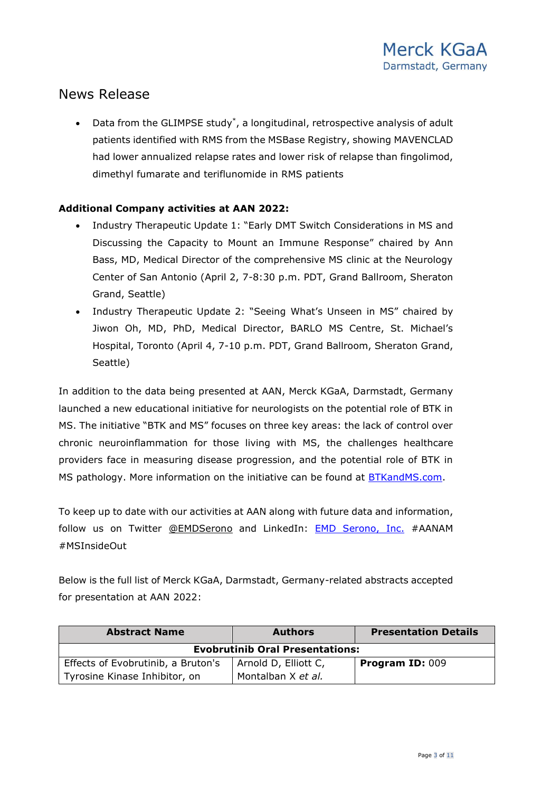• Data from the GLIMPSE study<sup>\*</sup>, a longitudinal, retrospective analysis of adult patients identified with RMS from the MSBase Registry, showing MAVENCLAD had lower annualized relapse rates and lower risk of relapse than fingolimod, dimethyl fumarate and teriflunomide in RMS patients

### **Additional Company activities at AAN 2022:**

- Industry Therapeutic Update 1: "Early DMT Switch Considerations in MS and Discussing the Capacity to Mount an Immune Response" chaired by Ann Bass, MD, Medical Director of the comprehensive MS clinic at the Neurology Center of San Antonio (April 2, 7-8:30 p.m. PDT, Grand Ballroom, Sheraton Grand, Seattle)
- Industry Therapeutic Update 2: "Seeing What's Unseen in MS" chaired by Jiwon Oh, MD, PhD, Medical Director, BARLO MS Centre, St. Michael's Hospital, Toronto (April 4, 7-10 p.m. PDT, Grand Ballroom, Sheraton Grand, Seattle)

In addition to the data being presented at AAN, Merck KGaA, Darmstadt, Germany launched a new educational initiative for neurologists on the potential role of BTK in MS. The initiative "BTK and MS" focuses on three key areas: the lack of control over chronic neuroinflammation for those living with MS, the challenges healthcare providers face in measuring disease progression, and the potential role of BTK in MS pathology. More information on the initiative can be found at [BTKandMS.com.](http://btkandms.com/)

To keep up to date with our activities at AAN along with future data and information, follow us on Twitter [@EMDSerono](https://twitter.com/EMDSerono) and LinkedIn: [EMD Serono, Inc.](https://www.linkedin.com/company/emd-serono-inc/) #AANAM #MSInsideOut

Below is the full list of Merck KGaA, Darmstadt, Germany-related abstracts accepted for presentation at AAN 2022:

| <b>Abstract Name</b>                   | <b>Authors</b>       | <b>Presentation Details</b> |  |  |
|----------------------------------------|----------------------|-----------------------------|--|--|
| <b>Evobrutinib Oral Presentations:</b> |                      |                             |  |  |
| Effects of Evobrutinib, a Bruton's     | Arnold D, Elliott C, | Program ID: 009             |  |  |
| Tyrosine Kinase Inhibitor, on          | Montalban X et al.   |                             |  |  |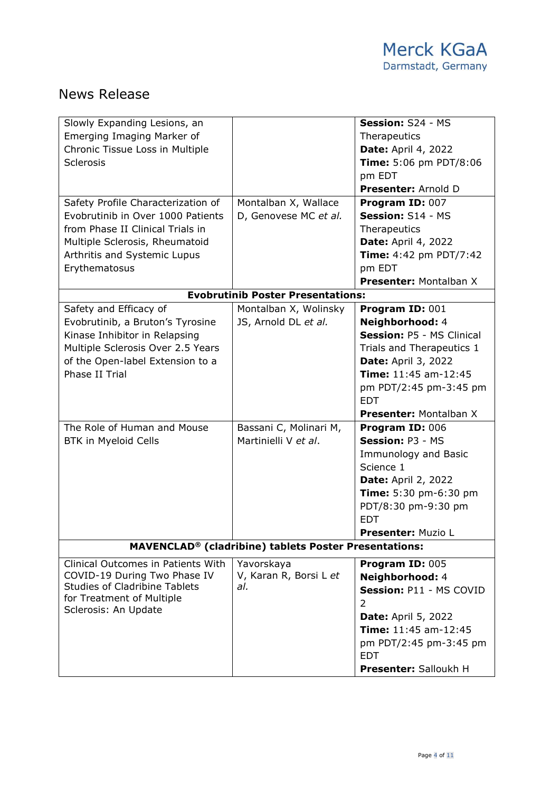| Slowly Expanding Lesions, an                                 |                                          | Session: S24 - MS             |  |  |
|--------------------------------------------------------------|------------------------------------------|-------------------------------|--|--|
| Emerging Imaging Marker of                                   |                                          | Therapeutics                  |  |  |
| Chronic Tissue Loss in Multiple                              |                                          | <b>Date: April 4, 2022</b>    |  |  |
| <b>Sclerosis</b>                                             |                                          | Time: 5:06 pm PDT/8:06        |  |  |
|                                                              |                                          | pm EDT                        |  |  |
|                                                              |                                          | Presenter: Arnold D           |  |  |
| Safety Profile Characterization of                           | Montalban X, Wallace                     | Program ID: 007               |  |  |
| Evobrutinib in Over 1000 Patients                            | D, Genovese MC et al.                    | Session: S14 - MS             |  |  |
| from Phase II Clinical Trials in                             |                                          | Therapeutics                  |  |  |
| Multiple Sclerosis, Rheumatoid                               |                                          | <b>Date: April 4, 2022</b>    |  |  |
| Arthritis and Systemic Lupus                                 |                                          | Time: 4:42 pm PDT/7:42        |  |  |
| Erythematosus                                                |                                          | pm EDT                        |  |  |
|                                                              |                                          | <b>Presenter: Montalban X</b> |  |  |
|                                                              | <b>Evobrutinib Poster Presentations:</b> |                               |  |  |
| Safety and Efficacy of                                       | Montalban X, Wolinsky                    | Program ID: 001               |  |  |
| Evobrutinib, a Bruton's Tyrosine                             | JS, Arnold DL et al.                     | Neighborhood: 4               |  |  |
| Kinase Inhibitor in Relapsing                                |                                          | Session: P5 - MS Clinical     |  |  |
| Multiple Sclerosis Over 2.5 Years                            |                                          | Trials and Therapeutics 1     |  |  |
| of the Open-label Extension to a                             |                                          | <b>Date: April 3, 2022</b>    |  |  |
| Phase II Trial                                               |                                          | Time: 11:45 am-12:45          |  |  |
|                                                              |                                          | pm PDT/2:45 pm-3:45 pm        |  |  |
|                                                              |                                          | <b>EDT</b>                    |  |  |
|                                                              |                                          | <b>Presenter: Montalban X</b> |  |  |
| The Role of Human and Mouse                                  | Bassani C, Molinari M,                   | Program ID: 006               |  |  |
| BTK in Myeloid Cells                                         | Martinielli V et al.                     | Session: P3 - MS              |  |  |
|                                                              |                                          | Immunology and Basic          |  |  |
|                                                              |                                          | Science 1                     |  |  |
|                                                              |                                          | <b>Date: April 2, 2022</b>    |  |  |
|                                                              |                                          | Time: 5:30 pm-6:30 pm         |  |  |
|                                                              |                                          | PDT/8:30 pm-9:30 pm           |  |  |
|                                                              |                                          | <b>EDT</b>                    |  |  |
|                                                              |                                          | <b>Presenter: Muzio L</b>     |  |  |
| <b>MAVENCLAD®</b> (cladribine) tablets Poster Presentations: |                                          |                               |  |  |
| Clinical Outcomes in Patients With                           | Yavorskaya                               | Program ID: 005               |  |  |
| COVID-19 During Two Phase IV                                 | V, Karan R, Borsi L et                   | Neighborhood: 4               |  |  |
| <b>Studies of Cladribine Tablets</b>                         | al.                                      | Session: P11 - MS COVID       |  |  |
| for Treatment of Multiple                                    |                                          | 2                             |  |  |
| Sclerosis: An Update                                         |                                          | <b>Date: April 5, 2022</b>    |  |  |
|                                                              |                                          | Time: 11:45 am-12:45          |  |  |
|                                                              |                                          | pm PDT/2:45 pm-3:45 pm        |  |  |
|                                                              |                                          | <b>EDT</b>                    |  |  |
|                                                              |                                          | Presenter: Salloukh H         |  |  |
|                                                              |                                          |                               |  |  |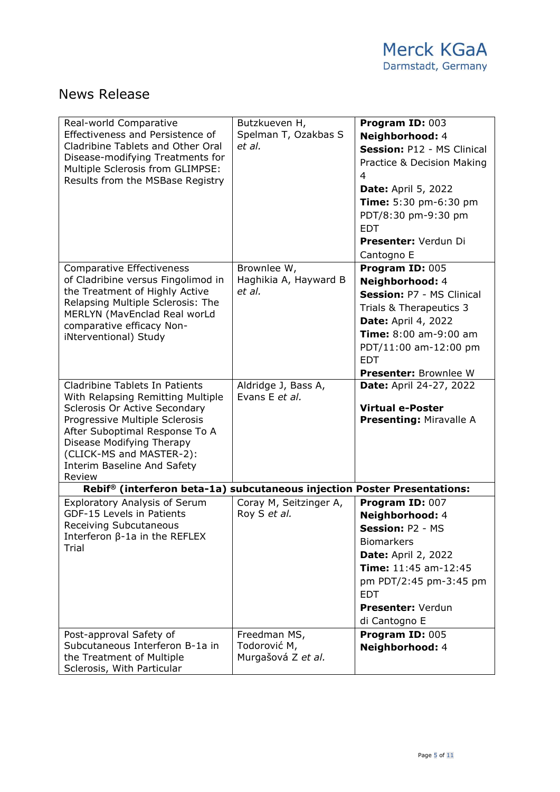| Real-world Comparative<br>Effectiveness and Persistence of<br>Cladribine Tablets and Other Oral<br>Disease-modifying Treatments for<br>Multiple Sclerosis from GLIMPSE:<br>Results from the MSBase Registry                                                                | Butzkueven H,<br>Spelman T, Ozakbas S<br>et al.    | Program ID: 003<br>Neighborhood: 4<br>Session: P12 - MS Clinical<br>Practice & Decision Making<br>4<br><b>Date: April 5, 2022</b><br>Time: 5:30 pm-6:30 pm<br>PDT/8:30 pm-9:30 pm<br><b>EDT</b><br>Presenter: Verdun Di<br>Cantogno E |
|----------------------------------------------------------------------------------------------------------------------------------------------------------------------------------------------------------------------------------------------------------------------------|----------------------------------------------------|---------------------------------------------------------------------------------------------------------------------------------------------------------------------------------------------------------------------------------------|
| <b>Comparative Effectiveness</b><br>of Cladribine versus Fingolimod in<br>the Treatment of Highly Active<br>Relapsing Multiple Sclerosis: The<br>MERLYN (MavEnclad Real worLd<br>comparative efficacy Non-<br>iNterventional) Study                                        | Brownlee W,<br>Haghikia A, Hayward B<br>et al.     | Program ID: 005<br>Neighborhood: 4<br>Session: P7 - MS Clinical<br>Trials & Therapeutics 3<br><b>Date: April 4, 2022</b><br>Time: 8:00 am-9:00 am<br>PDT/11:00 am-12:00 pm<br><b>EDT</b><br><b>Presenter: Brownlee W</b>              |
| Cladribine Tablets In Patients<br>With Relapsing Remitting Multiple<br>Sclerosis Or Active Secondary<br>Progressive Multiple Sclerosis<br>After Suboptimal Response To A<br>Disease Modifying Therapy<br>(CLICK-MS and MASTER-2):<br>Interim Baseline And Safety<br>Review | Aldridge J, Bass A,<br>Evans E et al.              | <b>Date: April 24-27, 2022</b><br><b>Virtual e-Poster</b><br><b>Presenting: Miravalle A</b>                                                                                                                                           |
| Rebif® (interferon beta-1a) subcutaneous injection Poster Presentations:                                                                                                                                                                                                   |                                                    |                                                                                                                                                                                                                                       |
| <b>Exploratory Analysis of Serum</b><br>GDF-15 Levels in Patients<br>Receiving Subcutaneous<br>Interferon $\beta$ -1a in the REFLEX<br>Trial                                                                                                                               | Coray M, Seitzinger A,<br>Roy S et al.             | Program ID: 007<br>Neighborhood: 4<br>Session: P2 - MS<br><b>Biomarkers</b><br><b>Date: April 2, 2022</b><br>Time: 11:45 am-12:45<br>pm PDT/2:45 pm-3:45 pm<br><b>EDT</b><br>Presenter: Verdun<br>di Cantogno E                       |
| Post-approval Safety of<br>Subcutaneous Interferon B-1a in<br>the Treatment of Multiple<br>Sclerosis, With Particular                                                                                                                                                      | Freedman MS,<br>Todorović M,<br>Murgašová Z et al. | Program ID: 005<br>Neighborhood: 4                                                                                                                                                                                                    |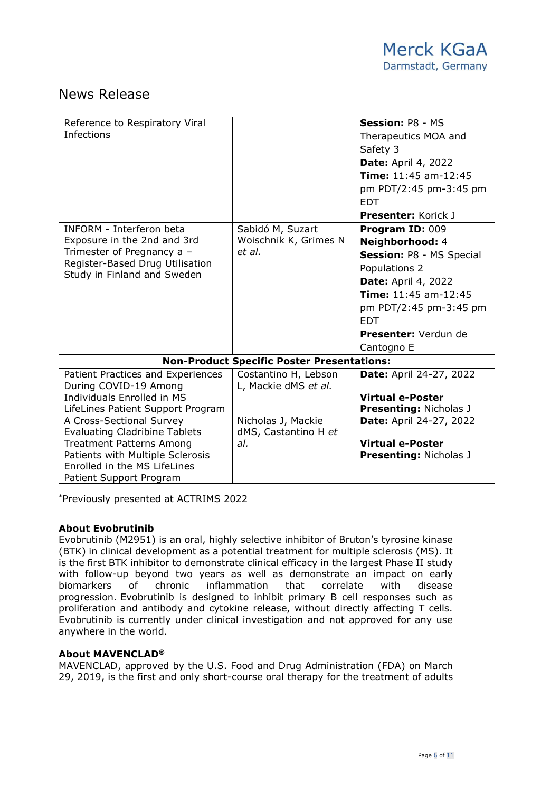| Reference to Respiratory Viral<br><b>Infections</b>                                                                                                                                                |                                                     | Session: P8 - MS<br>Therapeutics MOA and<br>Safety 3<br><b>Date: April 4, 2022</b><br>Time: 11:45 am-12:45<br>pm PDT/2:45 pm-3:45 pm<br><b>EDT</b><br><b>Presenter: Korick J</b>                                    |  |  |
|----------------------------------------------------------------------------------------------------------------------------------------------------------------------------------------------------|-----------------------------------------------------|---------------------------------------------------------------------------------------------------------------------------------------------------------------------------------------------------------------------|--|--|
| INFORM - Interferon beta<br>Exposure in the 2nd and 3rd<br>Trimester of Pregnancy a -<br>Register-Based Drug Utilisation<br>Study in Finland and Sweden                                            | Sabidó M, Suzart<br>Woischnik K, Grimes N<br>et al. | Program ID: 009<br>Neighborhood: 4<br>Session: P8 - MS Special<br>Populations 2<br><b>Date: April 4, 2022</b><br>Time: 11:45 am-12:45<br>pm PDT/2:45 pm-3:45 pm<br><b>FDT</b><br>Presenter: Verdun de<br>Cantogno E |  |  |
| <b>Non-Product Specific Poster Presentations:</b>                                                                                                                                                  |                                                     |                                                                                                                                                                                                                     |  |  |
| Patient Practices and Experiences<br>During COVID-19 Among<br>Individuals Enrolled in MS<br>LifeLines Patient Support Program                                                                      | Costantino H, Lebson<br>L, Mackie dMS et al.        | <b>Date: April 24-27, 2022</b><br><b>Virtual e-Poster</b><br><b>Presenting: Nicholas J</b>                                                                                                                          |  |  |
| A Cross-Sectional Survey<br><b>Evaluating Cladribine Tablets</b><br><b>Treatment Patterns Among</b><br>Patients with Multiple Sclerosis<br>Enrolled in the MS LifeLines<br>Patient Support Program | Nicholas J, Mackie<br>dMS, Castantino H et<br>al.   | <b>Date: April 24-27, 2022</b><br><b>Virtual e-Poster</b><br><b>Presenting: Nicholas J</b>                                                                                                                          |  |  |

\*Previously presented at ACTRIMS 2022

#### **About Evobrutinib**

Evobrutinib (M2951) is an oral, highly selective inhibitor of Bruton's tyrosine kinase (BTK) in clinical development as a potential treatment for multiple sclerosis (MS). It is the first BTK inhibitor to demonstrate clinical efficacy in the largest Phase II study with follow-up beyond two years as well as demonstrate an impact on early biomarkers of chronic inflammation that correlate with disease progression. Evobrutinib is designed to inhibit primary B cell responses such as proliferation and antibody and cytokine release, without directly affecting T cells. Evobrutinib is currently under clinical investigation and not approved for any use anywhere in the world.

#### **About MAVENCLAD®**

MAVENCLAD, approved by the U.S. Food and Drug Administration (FDA) on March 29, 2019, is the first and only short-course oral therapy for the treatment of adults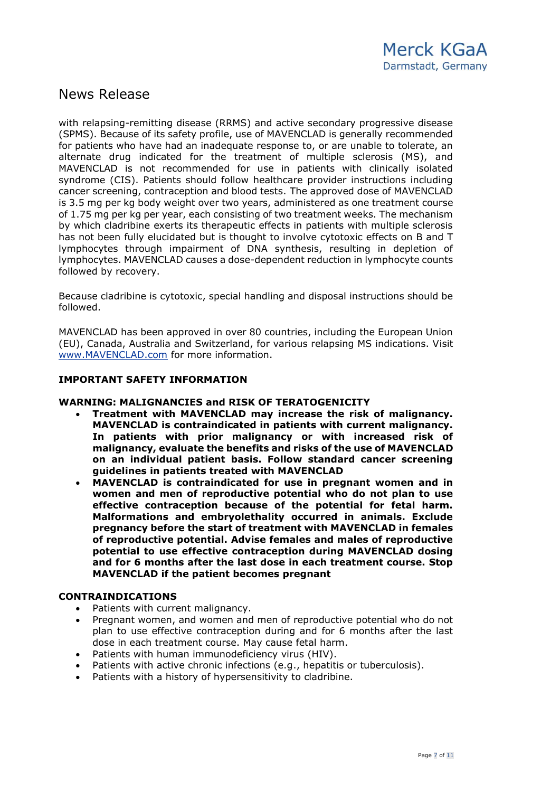with relapsing-remitting disease (RRMS) and active secondary progressive disease (SPMS). Because of its safety profile, use of MAVENCLAD is generally recommended for patients who have had an inadequate response to, or are unable to tolerate, an alternate drug indicated for the treatment of multiple sclerosis (MS), and MAVENCLAD is not recommended for use in patients with clinically isolated syndrome (CIS). Patients should follow healthcare provider instructions including cancer screening, contraception and blood tests. The approved dose of MAVENCLAD is 3.5 mg per kg body weight over two years, administered as one treatment course of 1.75 mg per kg per year, each consisting of two treatment weeks. The mechanism by which cladribine exerts its therapeutic effects in patients with multiple sclerosis has not been fully elucidated but is thought to involve cytotoxic effects on B and T lymphocytes through impairment of DNA synthesis, resulting in depletion of lymphocytes. MAVENCLAD causes a dose-dependent reduction in lymphocyte counts followed by recovery.

Because cladribine is cytotoxic, special handling and disposal instructions should be followed.

MAVENCLAD has been approved in over 80 countries, including the European Union (EU), Canada, Australia and Switzerland, for various relapsing MS indications. Visit [www.MAVENCLAD.com](https://c212.net/c/link/?t=0&l=en&o=2427612-1&h=1772676200&u=http%3A%2F%2Fwww.mavenclad.com%2F&a=www.MAVENCLAD.com) for more information.

#### **IMPORTANT SAFETY INFORMATION**

#### **WARNING: MALIGNANCIES and RISK OF TERATOGENICITY**

- **Treatment with MAVENCLAD may increase the risk of malignancy. MAVENCLAD is contraindicated in patients with current malignancy. In patients with prior malignancy or with increased risk of malignancy, evaluate the benefits and risks of the use of MAVENCLAD on an individual patient basis. Follow standard cancer screening guidelines in patients treated with MAVENCLAD**
- **MAVENCLAD is contraindicated for use in pregnant women and in women and men of reproductive potential who do not plan to use effective contraception because of the potential for fetal harm. Malformations and embryolethality occurred in animals. Exclude pregnancy before the start of treatment with MAVENCLAD in females of reproductive potential. Advise females and males of reproductive potential to use effective contraception during MAVENCLAD dosing and for 6 months after the last dose in each treatment course. Stop MAVENCLAD if the patient becomes pregnant**

#### **CONTRAINDICATIONS**

- Patients with current malignancy.
- Pregnant women, and women and men of reproductive potential who do not plan to use effective contraception during and for 6 months after the last dose in each treatment course. May cause fetal harm.
- Patients with human immunodeficiency virus (HIV).
- Patients with active chronic infections (e.g., hepatitis or tuberculosis).
- Patients with a history of hypersensitivity to cladribine.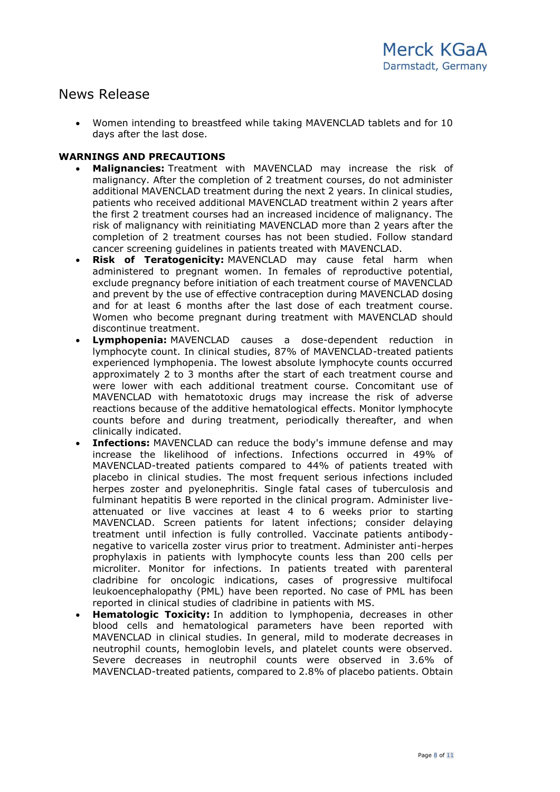• Women intending to breastfeed while taking MAVENCLAD tablets and for 10 days after the last dose.

#### **WARNINGS AND PRECAUTIONS**

- **Malignancies:** Treatment with MAVENCLAD may increase the risk of malignancy. After the completion of 2 treatment courses, do not administer additional MAVENCLAD treatment during the next 2 years. In clinical studies, patients who received additional MAVENCLAD treatment within 2 years after the first 2 treatment courses had an increased incidence of malignancy. The risk of malignancy with reinitiating MAVENCLAD more than 2 years after the completion of 2 treatment courses has not been studied. Follow standard cancer screening guidelines in patients treated with MAVENCLAD.
- **Risk of Teratogenicity:** MAVENCLAD may cause fetal harm when administered to pregnant women. In females of reproductive potential, exclude pregnancy before initiation of each treatment course of MAVENCLAD and prevent by the use of effective contraception during MAVENCLAD dosing and for at least 6 months after the last dose of each treatment course. Women who become pregnant during treatment with MAVENCLAD should discontinue treatment.
- **Lymphopenia:** MAVENCLAD causes a dose-dependent reduction in lymphocyte count. In clinical studies, 87% of MAVENCLAD-treated patients experienced lymphopenia. The lowest absolute lymphocyte counts occurred approximately 2 to 3 months after the start of each treatment course and were lower with each additional treatment course. Concomitant use of MAVENCLAD with hematotoxic drugs may increase the risk of adverse reactions because of the additive hematological effects. Monitor lymphocyte counts before and during treatment, periodically thereafter, and when clinically indicated.
- **Infections:** MAVENCLAD can reduce the body's immune defense and may increase the likelihood of infections. Infections occurred in 49% of MAVENCLAD-treated patients compared to 44% of patients treated with placebo in clinical studies. The most frequent serious infections included herpes zoster and pyelonephritis. Single fatal cases of tuberculosis and fulminant hepatitis B were reported in the clinical program. Administer liveattenuated or live vaccines at least 4 to 6 weeks prior to starting MAVENCLAD. Screen patients for latent infections; consider delaying treatment until infection is fully controlled. Vaccinate patients antibodynegative to varicella zoster virus prior to treatment. Administer anti-herpes prophylaxis in patients with lymphocyte counts less than 200 cells per microliter. Monitor for infections. In patients treated with parenteral cladribine for oncologic indications, cases of progressive multifocal leukoencephalopathy (PML) have been reported. No case of PML has been reported in clinical studies of cladribine in patients with MS.
- **Hematologic Toxicity:** In addition to lymphopenia, decreases in other blood cells and hematological parameters have been reported with MAVENCLAD in clinical studies. In general, mild to moderate decreases in neutrophil counts, hemoglobin levels, and platelet counts were observed. Severe decreases in neutrophil counts were observed in 3.6% of MAVENCLAD-treated patients, compared to 2.8% of placebo patients. Obtain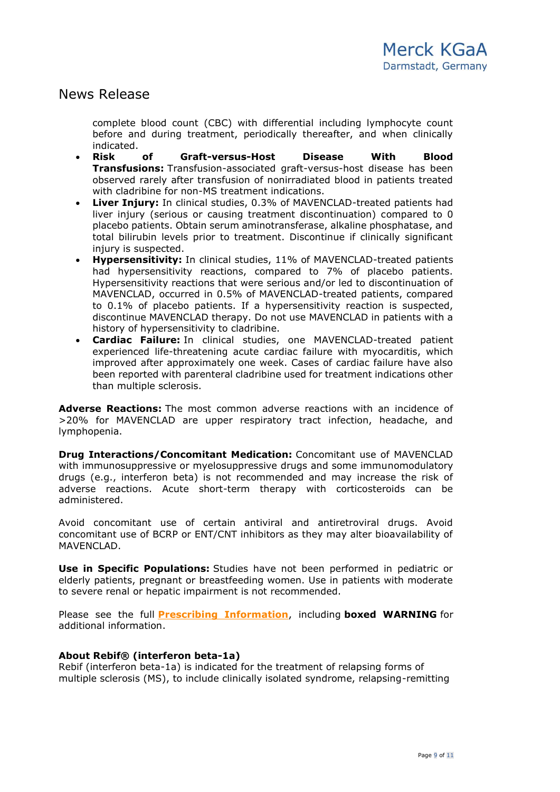complete blood count (CBC) with differential including lymphocyte count before and during treatment, periodically thereafter, and when clinically indicated.

- **Risk of Graft-versus-Host Disease With Blood Transfusions:** Transfusion-associated graft-versus-host disease has been observed rarely after transfusion of nonirradiated blood in patients treated with cladribine for non-MS treatment indications.
- **Liver Injury:** In clinical studies, 0.3% of MAVENCLAD-treated patients had liver injury (serious or causing treatment discontinuation) compared to 0 placebo patients. Obtain serum aminotransferase, alkaline phosphatase, and total bilirubin levels prior to treatment. Discontinue if clinically significant injury is suspected.
- **Hypersensitivity:** In clinical studies, 11% of MAVENCLAD-treated patients had hypersensitivity reactions, compared to 7% of placebo patients. Hypersensitivity reactions that were serious and/or led to discontinuation of MAVENCLAD, occurred in 0.5% of MAVENCLAD-treated patients, compared to 0.1% of placebo patients. If a hypersensitivity reaction is suspected, discontinue MAVENCLAD therapy. Do not use MAVENCLAD in patients with a history of hypersensitivity to cladribine.
- **Cardiac Failure:** In clinical studies, one MAVENCLAD-treated patient experienced life-threatening acute cardiac failure with myocarditis, which improved after approximately one week. Cases of cardiac failure have also been reported with parenteral cladribine used for treatment indications other than multiple sclerosis.

**Adverse Reactions:** The most common adverse reactions with an incidence of >20% for MAVENCLAD are upper respiratory tract infection, headache, and lymphopenia.

**Drug Interactions/Concomitant Medication:** Concomitant use of MAVENCLAD with immunosuppressive or myelosuppressive drugs and some immunomodulatory drugs (e.g., interferon beta) is not recommended and may increase the risk of adverse reactions. Acute short-term therapy with corticosteroids can be administered.

Avoid concomitant use of certain antiviral and antiretroviral drugs. Avoid concomitant use of BCRP or ENT/CNT inhibitors as they may alter bioavailability of MAVENCLAD.

**Use in Specific Populations:** Studies have not been performed in pediatric or elderly patients, pregnant or breastfeeding women. Use in patients with moderate to severe renal or hepatic impairment is not recommended.

Please see the full **[Prescribing Information](http://www.emdserono.com/MavencladPI)**, including **boxed WARNING** for additional information.

### **About Rebif® (interferon beta-1a)**

Rebif (interferon beta-1a) is indicated for the treatment of relapsing forms of multiple sclerosis (MS), to include clinically isolated syndrome, relapsing-remitting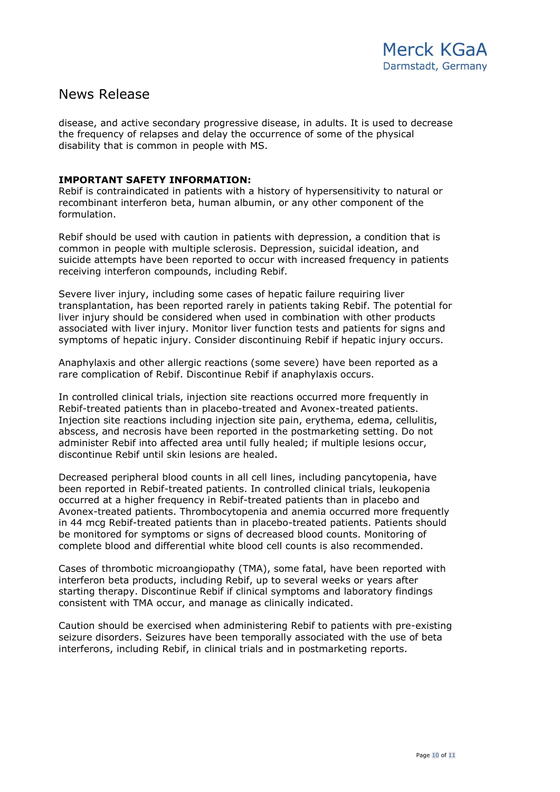disease, and active secondary progressive disease, in adults. It is used to decrease the frequency of relapses and delay the occurrence of some of the physical disability that is common in people with MS.

#### **IMPORTANT SAFETY INFORMATION:**

Rebif is contraindicated in patients with a history of hypersensitivity to natural or recombinant interferon beta, human albumin, or any other component of the formulation.

Rebif should be used with caution in patients with depression, a condition that is common in people with multiple sclerosis. Depression, suicidal ideation, and suicide attempts have been reported to occur with increased frequency in patients receiving interferon compounds, including Rebif.

Severe liver injury, including some cases of hepatic failure requiring liver transplantation, has been reported rarely in patients taking Rebif. The potential for liver injury should be considered when used in combination with other products associated with liver injury. Monitor liver function tests and patients for signs and symptoms of hepatic injury. Consider discontinuing Rebif if hepatic injury occurs.

Anaphylaxis and other allergic reactions (some severe) have been reported as a rare complication of Rebif. Discontinue Rebif if anaphylaxis occurs.

In controlled clinical trials, injection site reactions occurred more frequently in Rebif-treated patients than in placebo-treated and Avonex-treated patients. Injection site reactions including injection site pain, erythema, edema, cellulitis, abscess, and necrosis have been reported in the postmarketing setting. Do not administer Rebif into affected area until fully healed; if multiple lesions occur, discontinue Rebif until skin lesions are healed.

Decreased peripheral blood counts in all cell lines, including pancytopenia, have been reported in Rebif-treated patients. In controlled clinical trials, leukopenia occurred at a higher frequency in Rebif-treated patients than in placebo and Avonex-treated patients. Thrombocytopenia and anemia occurred more frequently in 44 mcg Rebif-treated patients than in placebo-treated patients. Patients should be monitored for symptoms or signs of decreased blood counts. Monitoring of complete blood and differential white blood cell counts is also recommended.

Cases of thrombotic microangiopathy (TMA), some fatal, have been reported with interferon beta products, including Rebif, up to several weeks or years after starting therapy. Discontinue Rebif if clinical symptoms and laboratory findings consistent with TMA occur, and manage as clinically indicated.

Caution should be exercised when administering Rebif to patients with pre-existing seizure disorders. Seizures have been temporally associated with the use of beta interferons, including Rebif, in clinical trials and in postmarketing reports.